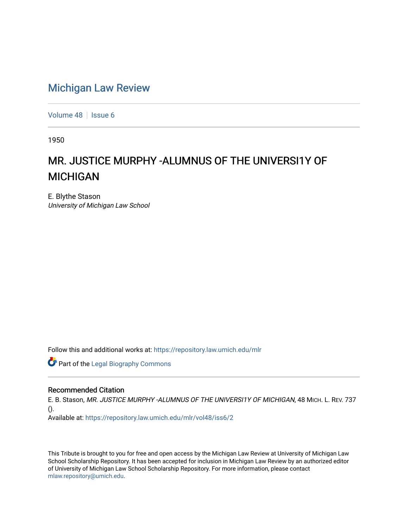### [Michigan Law Review](https://repository.law.umich.edu/mlr)

[Volume 48](https://repository.law.umich.edu/mlr/vol48) | [Issue 6](https://repository.law.umich.edu/mlr/vol48/iss6)

1950

# MR. JUSTICE MURPHY -ALUMNUS OF THE UNIVERSI1Y OF MICHIGAN

E. Blythe Stason University of Michigan Law School

Follow this and additional works at: [https://repository.law.umich.edu/mlr](https://repository.law.umich.edu/mlr?utm_source=repository.law.umich.edu%2Fmlr%2Fvol48%2Fiss6%2F2&utm_medium=PDF&utm_campaign=PDFCoverPages) 

**Part of the Legal Biography Commons** 

#### Recommended Citation

E. B. Stason, MR. JUSTICE MURPHY -ALUMNUS OF THE UNIVERSI1Y OF MICHIGAN, 48 MICH. L. REV. 737 ().

Available at: [https://repository.law.umich.edu/mlr/vol48/iss6/2](https://repository.law.umich.edu/mlr/vol48/iss6/2?utm_source=repository.law.umich.edu%2Fmlr%2Fvol48%2Fiss6%2F2&utm_medium=PDF&utm_campaign=PDFCoverPages)

This Tribute is brought to you for free and open access by the Michigan Law Review at University of Michigan Law School Scholarship Repository. It has been accepted for inclusion in Michigan Law Review by an authorized editor of University of Michigan Law School Scholarship Repository. For more information, please contact [mlaw.repository@umich.edu.](mailto:mlaw.repository@umich.edu)